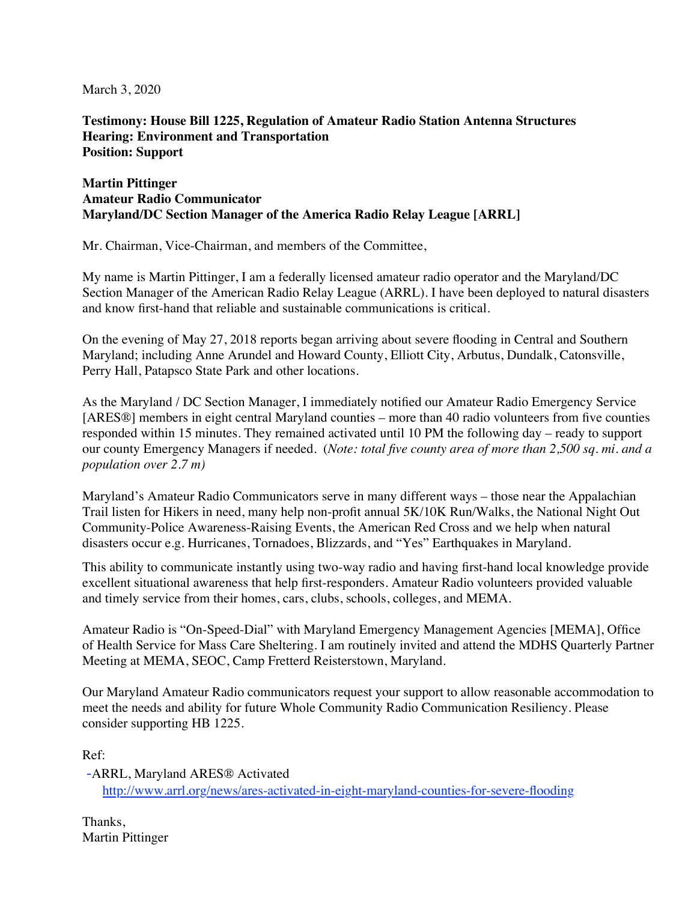March 3, 2020

**Testimony: House Bill 1225, Regulation of Amateur Radio Station Antenna Structures Hearing: Environment and Transportation Position: Support** 

## **Martin Pittinger Amateur Radio Communicator Maryland/DC Section Manager of the America Radio Relay League [ARRL]**

Mr. Chairman, Vice-Chairman, and members of the Committee,

My name is Martin Pittinger, I am a federally licensed amateur radio operator and the Maryland/DC Section Manager of the American Radio Relay League (ARRL). I have been deployed to natural disasters and know first-hand that reliable and sustainable communications is critical.

On the evening of May 27, 2018 reports began arriving about severe flooding in Central and Southern Maryland; including Anne Arundel and Howard County, Elliott City, Arbutus, Dundalk, Catonsville, Perry Hall, Patapsco State Park and other locations.

As the Maryland / DC Section Manager, I immediately notified our Amateur Radio Emergency Service [ARES<sup>®]</sup> members in eight central Maryland counties – more than 40 radio volunteers from five counties responded within 15 minutes. They remained activated until 10 PM the following day – ready to support our county Emergency Managers if needed. (*Note: total five county area of more than 2,500 sq. mi. and a population over 2.7 m)* 

Maryland's Amateur Radio Communicators serve in many different ways – those near the Appalachian Trail listen for Hikers in need, many help non-profit annual 5K/10K Run/Walks, the National Night Out Community-Police Awareness-Raising Events, the American Red Cross and we help when natural disasters occur e.g. Hurricanes, Tornadoes, Blizzards, and "Yes" Earthquakes in Maryland.

This ability to communicate instantly using two-way radio and having first-hand local knowledge provide excellent situational awareness that help first-responders. Amateur Radio volunteers provided valuable and timely service from their homes, cars, clubs, schools, colleges, and MEMA.

Amateur Radio is "On-Speed-Dial" with Maryland Emergency Management Agencies [MEMA], Office of Health Service for Mass Care Sheltering. I am routinely invited and attend the MDHS Quarterly Partner Meeting at MEMA, SEOC, Camp Fretterd Reisterstown, Maryland.

Our Maryland Amateur Radio communicators request your support to allow reasonable accommodation to meet the needs and ability for future Whole Community Radio Communication Resiliency. Please consider supporting HB 1225.

Ref:

-ARRL, Maryland ARES® Activated http://www.arrl.org/news/ares-activated-in-eight-maryland-counties-for-severe-flooding

Thanks, Martin Pittinger